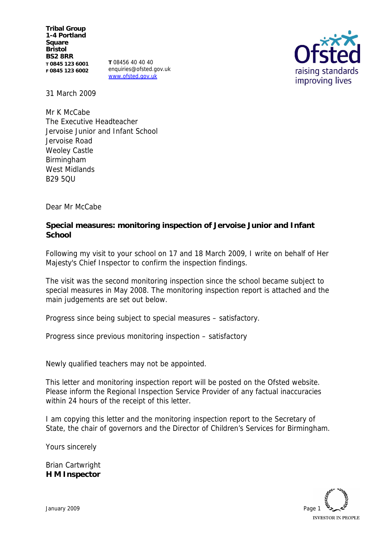**Tribal Group 1-4 Portland Square Bristol BS2 8RR T 0845 123 6001 F 0845 123 6002**

**T** 08456 40 40 40 enquiries@ofsted.gov.uk www.ofsted.gov.uk



31 March 2009

Mr K McCabe The Executive Headteacher Jervoise Junior and Infant School Jervoise Road Weoley Castle Birmingham West Midlands **B29 5011** 

Dear Mr McCabe

**Special measures: monitoring inspection of Jervoise Junior and Infant School**

Following my visit to your school on 17 and 18 March 2009, I write on behalf of Her Majesty's Chief Inspector to confirm the inspection findings.

The visit was the second monitoring inspection since the school became subject to special measures in May 2008. The monitoring inspection report is attached and the main judgements are set out below.

Progress since being subject to special measures – satisfactory.

Progress since previous monitoring inspection – satisfactory

Newly qualified teachers may not be appointed.

This letter and monitoring inspection report will be posted on the Ofsted website. Please inform the Regional Inspection Service Provider of any factual inaccuracies within 24 hours of the receipt of this letter.

I am copying this letter and the monitoring inspection report to the Secretary of State, the chair of governors and the Director of Children's Services for Birmingham.

Yours sincerely

Brian Cartwright **H M Inspector**

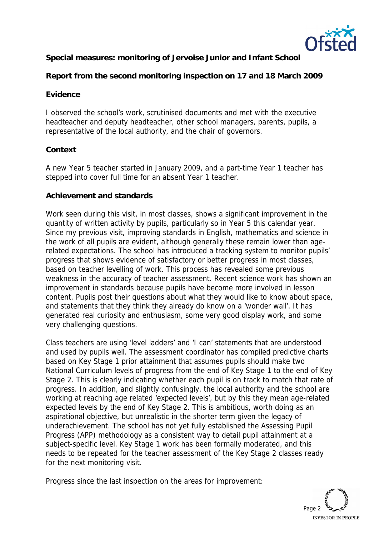

**Special measures: monitoring of Jervoise Junior and Infant School**

**Report from the second monitoring inspection on 17 and 18 March 2009**

## **Evidence**

I observed the school's work, scrutinised documents and met with the executive headteacher and deputy headteacher, other school managers, parents, pupils, a representative of the local authority, and the chair of governors.

## **Context**

A new Year 5 teacher started in January 2009, and a part-time Year 1 teacher has stepped into cover full time for an absent Year 1 teacher.

#### **Achievement and standards**

Work seen during this visit, in most classes, shows a significant improvement in the quantity of written activity by pupils, particularly so in Year 5 this calendar year. Since my previous visit, improving standards in English, mathematics and science in the work of all pupils are evident, although generally these remain lower than agerelated expectations. The school has introduced a tracking system to monitor pupils' progress that shows evidence of satisfactory or better progress in most classes, based on teacher levelling of work. This process has revealed some previous weakness in the accuracy of teacher assessment. Recent science work has shown an improvement in standards because pupils have become more involved in lesson content. Pupils post their questions about what they would like to know about space, and statements that they think they already do know on a 'wonder wall'. It has generated real curiosity and enthusiasm, some very good display work, and some very challenging questions.

Class teachers are using 'level ladders' and 'I can' statements that are understood and used by pupils well. The assessment coordinator has compiled predictive charts based on Key Stage 1 prior attainment that assumes pupils should make two National Curriculum levels of progress from the end of Key Stage 1 to the end of Key Stage 2. This is clearly indicating whether each pupil is on track to match that rate of progress. In addition, and slightly confusingly, the local authority and the school are working at reaching age related 'expected levels', but by this they mean age-related expected levels by the end of Key Stage 2. This is ambitious, worth doing as an aspirational objective, but unrealistic in the shorter term given the legacy of underachievement. The school has not yet fully established the Assessing Pupil Progress (APP) methodology as a consistent way to detail pupil attainment at a subject-specific level. Key Stage 1 work has been formally moderated, and this needs to be repeated for the teacher assessment of the Key Stage 2 classes ready for the next monitoring visit.

Progress since the last inspection on the areas for improvement:

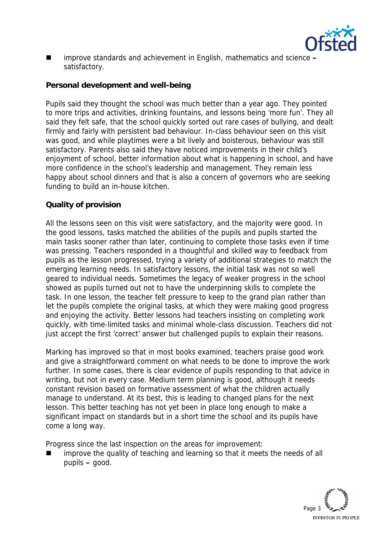

■ improve standards and achievement in English, mathematics and science – satisfactory.

# **Personal development and well-being**

Pupils said they thought the school was much better than a year ago. They pointed to more trips and activities, drinking fountains, and lessons being 'more fun'. They all said they felt safe, that the school quickly sorted out rare cases of bullying, and dealt firmly and fairly with persistent bad behaviour. In-class behaviour seen on this visit was good, and while playtimes were a bit lively and boisterous, behaviour was still satisfactory. Parents also said they have noticed improvements in their child's enjoyment of school, better information about what is happening in school, and have more confidence in the school's leadership and management. They remain less happy about school dinners and that is also a concern of governors who are seeking funding to build an in-house kitchen.

# **Quality of provision**

All the lessons seen on this visit were satisfactory, and the majority were good. In the good lessons, tasks matched the abilities of the pupils and pupils started the main tasks sooner rather than later, continuing to complete those tasks even if time was pressing. Teachers responded in a thoughtful and skilled way to feedback from pupils as the lesson progressed, trying a variety of additional strategies to match the emerging learning needs. In satisfactory lessons, the initial task was not so well geared to individual needs. Sometimes the legacy of weaker progress in the school showed as pupils turned out not to have the underpinning skills to complete the task. In one lesson, the teacher felt pressure to keep to the grand plan rather than let the pupils complete the original tasks, at which they were making good progress and enjoying the activity. Better lessons had teachers insisting on completing work quickly, with time-limited tasks and minimal whole-class discussion. Teachers did not just accept the first 'correct' answer but challenged pupils to explain their reasons.

Marking has improved so that in most books examined, teachers praise good work and give a straightforward comment on what needs to be done to improve the work further. In some cases, there is clear evidence of pupils responding to that advice in writing, but not in every case. Medium term planning is good, although it needs constant revision based on formative assessment of what the children actually manage to understand. At its best, this is leading to changed plans for the next lesson. This better teaching has not yet been in place long enough to make a significant impact on standards but in a short time the school and its pupils have come a long way.

Progress since the last inspection on the areas for improvement:

 improve the quality of teaching and learning so that it meets the needs of all pupils **–** good.